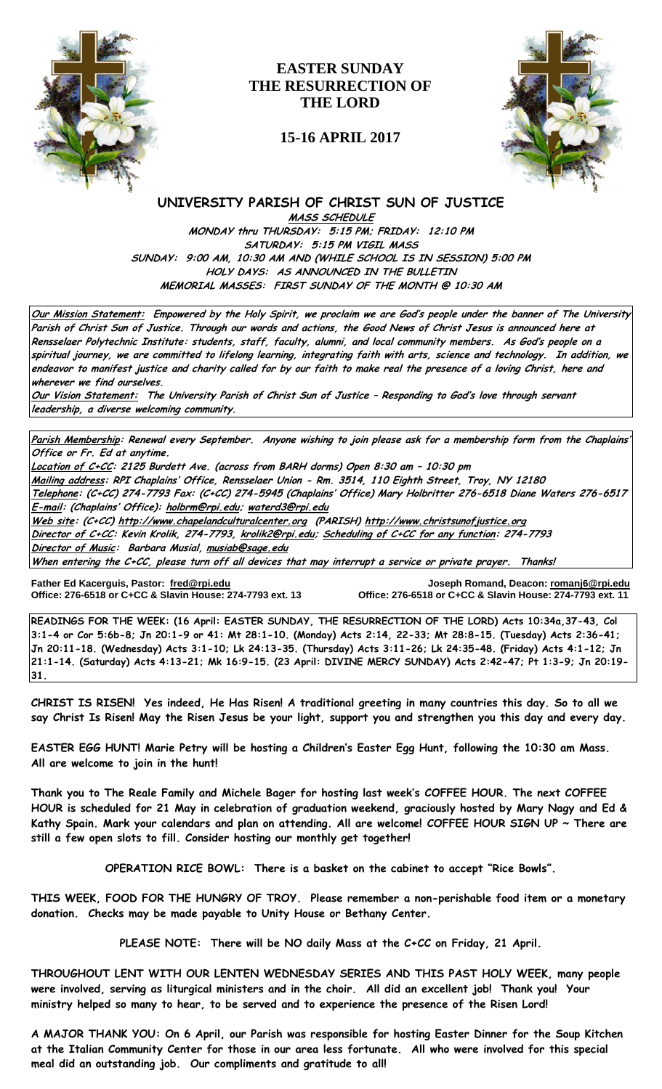

# **EASTER SUNDAY THE RESURRECTION OF THE LORD**

## **15-16 APRIL 2017**



## **UNIVERSITY PARISH OF CHRIST SUN OF JUSTICE**

**MASS SCHEDULE MONDAY thru THURSDAY: 5:15 PM; FRIDAY: 12:10 PM SATURDAY: 5:15 PM VIGIL MASS SUNDAY: 9:00 AM, 10:30 AM AND (WHILE SCHOOL IS IN SESSION) 5:00 PM HOLY DAYS: AS ANNOUNCED IN THE BULLETIN MEMORIAL MASSES: FIRST SUNDAY OF THE MONTH @ 10:30 AM**

**Our Mission Statement: Empowered by the Holy Spirit, we proclaim we are God's people under the banner of The University Parish of Christ Sun of Justice. Through our words and actions, the Good News of Christ Jesus is announced here at Rensselaer Polytechnic Institute: students, staff, faculty, alumni, and local community members. As God's people on a spiritual journey, we are committed to lifelong learning, integrating faith with arts, science and technology. In addition, we endeavor to manifest justice and charity called for by our faith to make real the presence of a loving Christ, here and wherever we find ourselves.**

**Our Vision Statement: The University Parish of Christ Sun of Justice – Responding to God's love through servant leadership, a diverse welcoming community.**

**Parish Membership: Renewal every September. Anyone wishing to join please ask for a membership form from the Chaplains' Office or Fr. Ed at anytime.**

**Location of C+CC: 2125 Burdett Ave. (across from BARH dorms) Open 8:30 am – 10:30 pm Mailing address: RPI Chaplains' Office, Rensselaer Union - Rm. 3514, 110 Eighth Street, Troy, NY 12180 Telephone: (C+CC) 274-7793 Fax: (C+CC) 274-5945 (Chaplains' Office) Mary Holbritter 276-6518 Diane Waters 276-6517 E-mail: (Chaplains' Office): [holbrm@rpi.edu;](mailto:holbrm@rpi.edu) waterd3@rpi.edu Web site: (C+CC[\) http://www.chapelandculturalcenter.org](http://www.chapelandculturalcenter.org/) (PARISH) http://www.christsunofjustice.org**

**Director of C+CC: Kevin Krolik, 274-7793, krolik2@rpi.edu; Scheduling of C+CC for any function: 274-7793 Director of Music: Barbara Musial, [musiab@sage.edu](mailto:musiab@sage.edu)**

**When entering the C+CC, please turn off all devices that may interrupt a service or private prayer. Thanks!** 

**Office: 276-6518 or C+CC & Slavin House: 274-7793 ext. 13 Office: 276-6518 or C+CC & Slavin House: 274-7793 ext. 11**

**Father Ed Kacerguis, Pastor: [fred@rpi.edu](mailto:fred@rpi.edu) Joseph Romand, Deacon[: romanj6@rpi.edu](mailto:romanj6@rpi.edu)**

**READINGS FOR THE WEEK: (16 April: EASTER SUNDAY, THE RESURRECTION OF THE LORD) Acts 10:34a,37-43, Col 3:1-4 or Cor 5:6b-8; Jn 20:1-9 or 41: Mt 28:1-10. (Monday) Acts 2:14, 22-33; Mt 28:8-15. (Tuesday) Acts 2:36-41; Jn 20:11-18. (Wednesday) Acts 3:1-10; Lk 24:13-35. (Thursday) Acts 3:11-26; Lk 24:35-48. (Friday) Acts 4:1-12; Jn 21:1-14. (Saturday) Acts 4:13-21; Mk 16:9-15. (23 April: DIVINE MERCY SUNDAY) Acts 2:42-47; Pt 1:3-9; Jn 20:19- 31.** 

**CHRIST IS RISEN! Yes indeed, He Has Risen! A traditional greeting in many countries this day. So to all we say Christ Is Risen! May the Risen Jesus be your light, support you and strengthen you this day and every day.**

**EASTER EGG HUNT! Marie Petry will be hosting a Children's Easter Egg Hunt, following the 10:30 am Mass. All are welcome to join in the hunt!** 

**Thank you to The Reale Family and Michele Bager for hosting last week's COFFEE HOUR. The next COFFEE HOUR is scheduled for 21 May in celebration of graduation weekend, graciously hosted by Mary Nagy and Ed & Kathy Spain. Mark your calendars and plan on attending. All are welcome! COFFEE HOUR SIGN UP ~ There are still a few open slots to fill. Consider hosting our monthly get together!**

**OPERATION RICE BOWL: There is a basket on the cabinet to accept "Rice Bowls".**

**THIS WEEK, FOOD FOR THE HUNGRY OF TROY. Please remember a non-perishable food item or a monetary donation. Checks may be made payable to Unity House or Bethany Center.**

**PLEASE NOTE: There will be NO daily Mass at the C+CC on Friday, 21 April.**

**THROUGHOUT LENT WITH OUR LENTEN WEDNESDAY SERIES AND THIS PAST HOLY WEEK, many people were involved, serving as liturgical ministers and in the choir. All did an excellent job! Thank you! Your ministry helped so many to hear, to be served and to experience the presence of the Risen Lord!** 

**A MAJOR THANK YOU: On 6 April, our Parish was responsible for hosting Easter Dinner for the Soup Kitchen at the Italian Community Center for those in our area less fortunate. All who were involved for this special meal did an outstanding job. Our compliments and gratitude to all!**